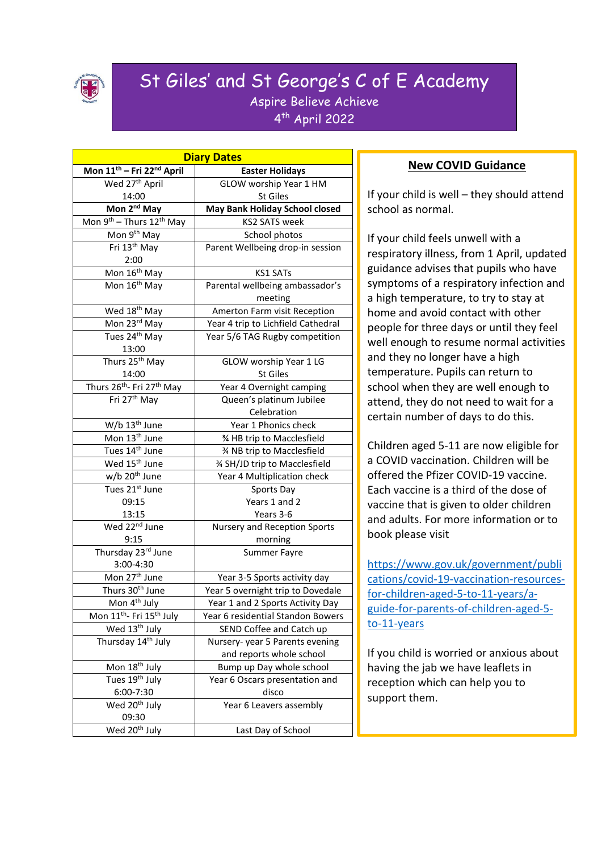

# St Giles' and St George's C of E Academy Aspire Believe Achieve

4 th April 2022

| <b>Diary Dates</b>                                |                                       |
|---------------------------------------------------|---------------------------------------|
| Mon 11 <sup>th</sup> - Fri 22 <sup>nd</sup> April | <b>Easter Holidays</b>                |
| Wed 27 <sup>th</sup> April                        | GLOW worship Year 1 HM                |
| 14:00                                             | St Giles                              |
| Mon 2 <sup>nd</sup> May                           | <b>May Bank Holiday School closed</b> |
| Mon $9^{th}$ – Thurs 12 <sup>th</sup> May         | <b>KS2 SATS week</b>                  |
| Mon 9 <sup>th</sup> May                           | School photos                         |
| Fri 13th May                                      | Parent Wellbeing drop-in session      |
| 2:00                                              |                                       |
| Mon 16 <sup>th</sup> May                          | <b>KS1 SATs</b>                       |
| Mon 16 <sup>th</sup> May                          | Parental wellbeing ambassador's       |
|                                                   | meeting                               |
| Wed 18 <sup>th</sup> May                          | Amerton Farm visit Reception          |
| Mon 23rd May                                      | Year 4 trip to Lichfield Cathedral    |
| Tues 24 <sup>th</sup> May                         | Year 5/6 TAG Rugby competition        |
| 13:00                                             |                                       |
| Thurs 25 <sup>th</sup> May                        | GLOW worship Year 1 LG                |
| 14:00                                             | St Giles                              |
| Thurs 26 <sup>th</sup> - Fri 27 <sup>th</sup> May | Year 4 Overnight camping              |
| Fri 27 <sup>th</sup> May                          | Queen's platinum Jubilee              |
|                                                   | Celebration                           |
| W/b 13 <sup>th</sup> June                         | Year 1 Phonics check                  |
| Mon 13 <sup>th</sup> June                         | % HB trip to Macclesfield             |
| Tues 14 <sup>th</sup> June                        | % NB trip to Macclesfield             |
| Wed 15 <sup>th</sup> June                         | % SH/JD trip to Macclesfield          |
| w/b 20 <sup>th</sup> June                         | Year 4 Multiplication check           |
| Tues $21^{st}$ June                               | Sports Day                            |
| 09:15                                             | Years 1 and 2                         |
| 13:15                                             | Years 3-6                             |
| Wed 22 <sup>nd</sup> June                         | Nursery and Reception Sports          |
| 9:15                                              | morning                               |
| Thursday 23rd June                                | <b>Summer Fayre</b>                   |
| 3:00-4:30                                         |                                       |
| Mon 27 <sup>th</sup> June                         | Year 3-5 Sports activity day          |
| Thurs 30 <sup>th</sup> June                       | Year 5 overnight trip to Dovedale     |
| Mon 4 <sup>th</sup> July                          | Year 1 and 2 Sports Activity Day      |
| Mon 11 <sup>th</sup> - Fri 15 <sup>th</sup> July  | Year 6 residential Standon Bowers     |
| Wed 13 <sup>th</sup> July                         | SEND Coffee and Catch up              |
| Thursday 14th July                                | Nursery-year 5 Parents evening        |
|                                                   | and reports whole school              |
| Mon 18 <sup>th</sup> July                         | Bump up Day whole school              |
| Tues 19th July                                    | Year 6 Oscars presentation and        |
| 6:00-7:30                                         | disco                                 |
| Wed 20 <sup>th</sup> July                         | Year 6 Leavers assembly               |
| 09:30                                             |                                       |
| Wed 20 <sup>th</sup> July                         | Last Day of School                    |

### **New COVID Guidance**

If your child is well – they should attend school as normal.

If your child feels unwell with a respiratory illness, from 1 April, updated guidance advises that pupils who have symptoms of a respiratory infection and a high temperature, to try to stay at home and avoid contact with other people for three days or until they feel well enough to resume normal activities and they no longer have a high temperature. Pupils can return to school when they are well enough to attend, they do not need to wait for a certain number of days to do this.

Children aged 5-11 are now eligible for a COVID vaccination. Children will be offered the Pfizer COVID-19 vaccine. Each vaccine is a third of the dose of vaccine that is given to older children and adults. For more information or to book please visit

[https://www.gov.uk/government/publi](https://www.gov.uk/government/publications/covid-19-vaccination-resources-for-children-aged-5-to-11-years/a-guide-for-parents-of-children-aged-5-to-11-years) [cations/covid-19-vaccination-resources](https://www.gov.uk/government/publications/covid-19-vaccination-resources-for-children-aged-5-to-11-years/a-guide-for-parents-of-children-aged-5-to-11-years)[for-children-aged-5-to-11-years/a](https://www.gov.uk/government/publications/covid-19-vaccination-resources-for-children-aged-5-to-11-years/a-guide-for-parents-of-children-aged-5-to-11-years)[guide-for-parents-of-children-aged-5](https://www.gov.uk/government/publications/covid-19-vaccination-resources-for-children-aged-5-to-11-years/a-guide-for-parents-of-children-aged-5-to-11-years) [to-11-years](https://www.gov.uk/government/publications/covid-19-vaccination-resources-for-children-aged-5-to-11-years/a-guide-for-parents-of-children-aged-5-to-11-years)

If you child is worried or anxious about having the jab we have leaflets in reception which can help you to support them.